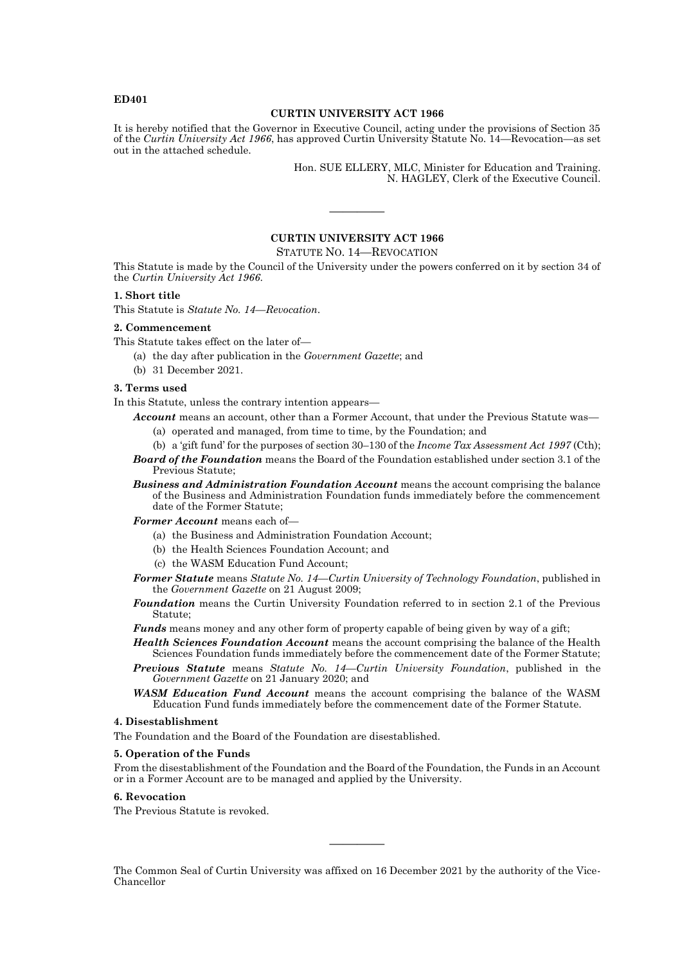# **ED401**

# **CURTIN UNIVERSITY ACT 1966**

It is hereby notified that the Governor in Executive Council, acting under the provisions of Section 35 of the *Curtin University Act 1966*, has approved Curtin University Statute No. 14—Revocation—as set out in the attached schedule.

> Hon. SUE ELLERY, MLC, Minister for Education and Training. N. HAGLEY, Clerk of the Executive Council.

# **CURTIN UNIVERSITY ACT 1966**

————

## STATUTE NO. 14—REVOCATION

This Statute is made by the Council of the University under the powers conferred on it by section 34 of the *Curtin University Act 1966*.

## **1. Short title**

This Statute is *Statute No. 14—Revocation*.

#### **2. Commencement**

This Statute takes effect on the later of—

- (a) the day after publication in the *Government Gazette*; and
- (b) 31 December 2021.

## **3. Terms used**

In this Statute, unless the contrary intention appears—

- Account means an account, other than a Former Account, that under the Previous Statute was— (a) operated and managed, from time to time, by the Foundation; and
	- (b) a 'gift fund' for the purposes of section 30–130 of the *Income Tax Assessment Act 1997* (Cth);
- *Board of the Foundation* means the Board of the Foundation established under section 3.1 of the Previous Statute;
- *Business and Administration Foundation Account* means the account comprising the balance of the Business and Administration Foundation funds immediately before the commencement date of the Former Statute;
- *Former Account* means each of—
	- (a) the Business and Administration Foundation Account;
	- (b) the Health Sciences Foundation Account; and
	- (c) the WASM Education Fund Account;
- *Former Statute* means *Statute No. 14—Curtin University of Technology Foundation*, published in the *Government Gazette* on 21 August 2009;

*Foundation* means the Curtin University Foundation referred to in section 2.1 of the Previous Statute;

- *Funds* means money and any other form of property capable of being given by way of a gift;
- *Health Sciences Foundation Account* means the account comprising the balance of the Health Sciences Foundation funds immediately before the commencement date of the Former Statute;
- *Previous Statute* means *Statute No. 14—Curtin University Foundation*, published in the *Government Gazette* on 21 January 2020; and
- *WASM Education Fund Account* means the account comprising the balance of the WASM Education Fund funds immediately before the commencement date of the Former Statute.

#### **4. Disestablishment**

The Foundation and the Board of the Foundation are disestablished.

#### **5. Operation of the Funds**

From the disestablishment of the Foundation and the Board of the Foundation, the Funds in an Account or in a Former Account are to be managed and applied by the University.

#### **6. Revocation**

The Previous Statute is revoked.

The Common Seal of Curtin University was affixed on 16 December 2021 by the authority of the Vice-Chancellor

————